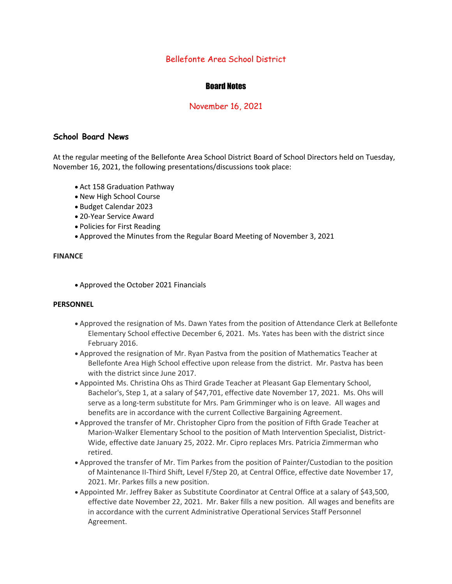# Bellefonte Area School District

# Board Notes

## November 16, 2021

### **School Board News**

At the regular meeting of the Bellefonte Area School District Board of School Directors held on Tuesday, November 16, 2021, the following presentations/discussions took place:

- Act 158 Graduation Pathway
- New High School Course
- Budget Calendar 2023
- 20-Year Service Award
- Policies for First Reading
- Approved the Minutes from the Regular Board Meeting of November 3, 2021

#### **FINANCE**

• Approved the October 2021 Financials

#### **PERSONNEL**

- Approved the resignation of Ms. Dawn Yates from the position of Attendance Clerk at Bellefonte Elementary School effective December 6, 2021. Ms. Yates has been with the district since February 2016.
- Approved the resignation of Mr. Ryan Pastva from the position of Mathematics Teacher at Bellefonte Area High School effective upon release from the district. Mr. Pastva has been with the district since June 2017.
- Appointed Ms. Christina Ohs as Third Grade Teacher at Pleasant Gap Elementary School, Bachelor's, Step 1, at a salary of \$47,701, effective date November 17, 2021. Ms. Ohs will serve as a long-term substitute for Mrs. Pam Grimminger who is on leave. All wages and benefits are in accordance with the current Collective Bargaining Agreement.
- Approved the transfer of Mr. Christopher Cipro from the position of Fifth Grade Teacher at Marion-Walker Elementary School to the position of Math Intervention Specialist, District-Wide, effective date January 25, 2022. Mr. Cipro replaces Mrs. Patricia Zimmerman who retired.
- Approved the transfer of Mr. Tim Parkes from the position of Painter/Custodian to the position of Maintenance II-Third Shift, Level F/Step 20, at Central Office, effective date November 17, 2021. Mr. Parkes fills a new position.
- Appointed Mr. Jeffrey Baker as Substitute Coordinator at Central Office at a salary of \$43,500, effective date November 22, 2021. Mr. Baker fills a new position. All wages and benefits are in accordance with the current Administrative Operational Services Staff Personnel Agreement.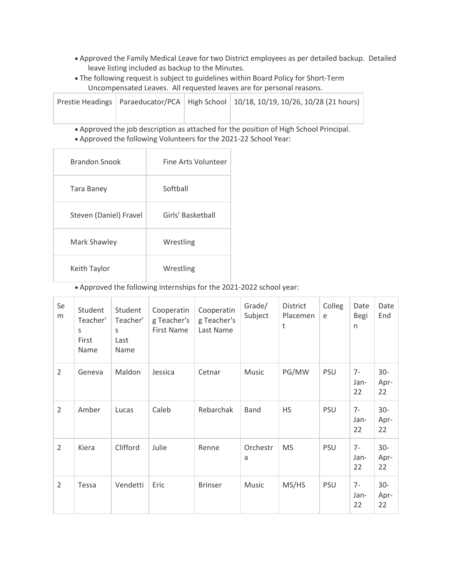- Approved the Family Medical Leave for two District employees as per detailed backup. Detailed leave listing included as backup to the Minutes.
- The following request is subject to guidelines within Board Policy for Short-Term Uncompensated Leaves. All requested leaves are for personal reasons.

|  | Prestie Headings   Paraeducator/PCA   High School   10/18, 10/19, 10/26, 10/28 (21 hours) |  |  |  |
|--|-------------------------------------------------------------------------------------------|--|--|--|
|  |                                                                                           |  |  |  |

- Approved the job description as attached for the position of High School Principal.
- Approved the following Volunteers for the 2021-22 School Year:

| <b>Brandon Snook</b>   | Fine Arts Volunteer |
|------------------------|---------------------|
| Tara Baney             | Softball            |
| Steven (Daniel) Fravel | Girls' Basketball   |
| Mark Shawley           | Wrestling           |
| Keith Taylor           | Wrestling           |

• Approved the following internships for the 2021-2022 school year:

| Se<br>m        | Student<br>Teacher'<br>S<br>First<br>Name | Student<br>Teacher'<br>S<br>Last<br>Name | Cooperatin<br>g Teacher's<br><b>First Name</b> | Cooperatin<br>g Teacher's<br>Last Name | Grade/<br>Subject | District<br>Placemen<br>t | Colleg<br>e | Date<br>Begi<br>n  | Date<br>End          |
|----------------|-------------------------------------------|------------------------------------------|------------------------------------------------|----------------------------------------|-------------------|---------------------------|-------------|--------------------|----------------------|
| $\overline{2}$ | Geneva                                    | Maldon                                   | Jessica                                        | Cetnar                                 | Music             | PG/MW                     | <b>PSU</b>  | $7-$<br>Jan-<br>22 | $30 -$<br>Apr-<br>22 |
| $\overline{2}$ | Amber                                     | Lucas                                    | Caleb                                          | Rebarchak                              | <b>Band</b>       | <b>HS</b>                 | <b>PSU</b>  | $7-$<br>Jan-<br>22 | $30-$<br>Apr-<br>22  |
| $\overline{2}$ | Kiera                                     | Clifford                                 | Julie                                          | Renne                                  | Orchestr<br>a     | <b>MS</b>                 | <b>PSU</b>  | $7-$<br>Jan-<br>22 | $30-$<br>Apr-<br>22  |
| $\overline{2}$ | Tessa                                     | Vendetti                                 | Eric                                           | <b>Brinser</b>                         | Music             | MS/HS                     | <b>PSU</b>  | $7-$<br>Jan-<br>22 | $30 -$<br>Apr-<br>22 |